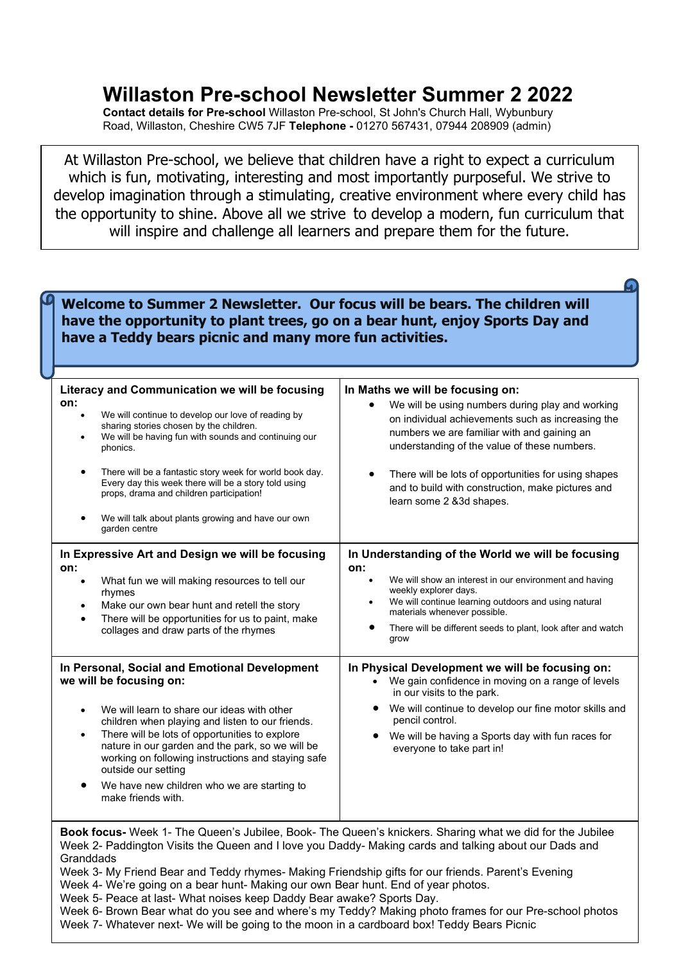## Willaston Pre-school Newsletter Summer 2 2022

Contact details for Pre-school Willaston Pre-school, St John's Church Hall, Wybunbury Road, Willaston, Cheshire CW5 7JF Telephone - 01270 567431, 07944 208909 (admin)

At Willaston Pre-school, we believe that children have a right to expect a curriculum which is fun, motivating, interesting and most importantly purposeful. We strive to develop imagination through a stimulating, creative environment where every child has the opportunity to shine. Above all we strive to develop a modern, fun curriculum that will inspire and challenge all learners and prepare them for the future.

Welcome to Summer 2 Newsletter. Our focus will be bears. The children will have the opportunity to plant trees, go on a bear hunt, enjoy Sports Day and have a Teddy bears picnic and many more fun activities.

| Literacy and Communication we will be focusing<br>on:<br>We will continue to develop our love of reading by<br>sharing stories chosen by the children.<br>We will be having fun with sounds and continuing our<br>phonics.<br>There will be a fantastic story week for world book day.<br>Every day this week there will be a story told using<br>props, drama and children participation!<br>We will talk about plants growing and have our own<br>garden centre | In Maths we will be focusing on:<br>We will be using numbers during play and working<br>on individual achievements such as increasing the<br>numbers we are familiar with and gaining an<br>understanding of the value of these numbers.<br>There will be lots of opportunities for using shapes<br>$\bullet$<br>and to build with construction, make pictures and<br>learn some 2 & 3d shapes. |
|-------------------------------------------------------------------------------------------------------------------------------------------------------------------------------------------------------------------------------------------------------------------------------------------------------------------------------------------------------------------------------------------------------------------------------------------------------------------|-------------------------------------------------------------------------------------------------------------------------------------------------------------------------------------------------------------------------------------------------------------------------------------------------------------------------------------------------------------------------------------------------|
| In Expressive Art and Design we will be focusing<br>on:<br>What fun we will making resources to tell our<br>rhymes<br>Make our own bear hunt and retell the story<br>$\bullet$<br>There will be opportunities for us to paint, make<br>$\bullet$<br>collages and draw parts of the rhymes                                                                                                                                                                         | In Understanding of the World we will be focusing<br>on:<br>We will show an interest in our environment and having<br>weekly explorer days.<br>We will continue learning outdoors and using natural<br>materials whenever possible.<br>There will be different seeds to plant, look after and watch<br>grow                                                                                     |
| In Personal, Social and Emotional Development<br>we will be focusing on:<br>We will learn to share our ideas with other<br>children when playing and listen to our friends.<br>There will be lots of opportunities to explore<br>$\bullet$<br>nature in our garden and the park, so we will be<br>working on following instructions and staying safe<br>outside our setting<br>We have new children who we are starting to<br>make friends with.                  | In Physical Development we will be focusing on:<br>• We gain confidence in moving on a range of levels<br>in our visits to the park.<br>We will continue to develop our fine motor skills and<br>pencil control.<br>We will be having a Sports day with fun races for<br>everyone to take part in!                                                                                              |
| Book focus- Week 1- The Queen's Jubilee, Book- The Queen's knickers. Sharing what we did for the Jubilee<br>Week 2- Paddington Visits the Queen and I love you Daddy- Making cards and talking about our Dads and<br>Granddads<br>Week 3- My Friend Bear and Teddy rhymes- Making Friendship gifts for our friends. Parent's Evening<br>Week 4, We're going on a bear bunt. Making our own Bear bunt. End of vear photos                                          |                                                                                                                                                                                                                                                                                                                                                                                                 |

/eek 4- We're going on a bear hunt- Making our own Bear hunt. End of year photos.

Week 5- Peace at last- What noises keep Daddy Bear awake? Sports Day.

Week 6- Brown Bear what do you see and where's my Teddy? Making photo frames for our Pre-school photos Week 7- Whatever next- We will be going to the moon in a cardboard box! Teddy Bears Picnic